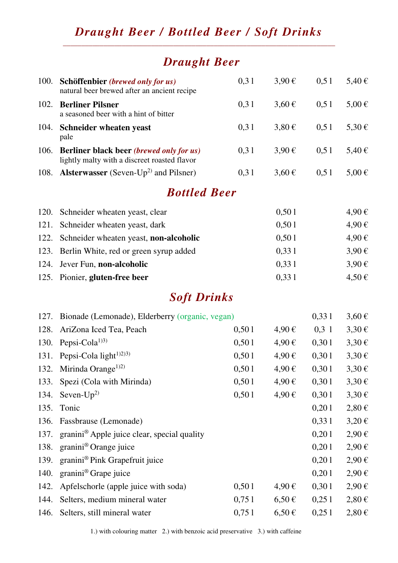### *Draught Beer / Bottled Beer / Soft Drinks*  \_\_\_\_\_\_\_\_\_\_\_\_\_\_\_\_\_\_\_\_\_\_\_\_\_\_\_\_\_\_\_\_\_\_\_\_\_\_\_\_\_\_\_\_\_\_\_\_\_\_\_\_\_\_\_\_\_\_\_\_\_\_\_\_\_\_\_\_\_\_\_\_\_\_

# *Draught Beer*

| 100. | Schöffenbier (brewed only for us)<br>natural beer brewed after an ancient recipe         | 0,31  | $3,90 \in$ | 0,51       | 5,40 €     |
|------|------------------------------------------------------------------------------------------|-------|------------|------------|------------|
| 102. | <b>Berliner Pilsner</b><br>a seasoned beer with a hint of bitter                         | 0,31  | $3,60 \in$ | 0,51       | $5,00 \in$ |
| 104. | Schneider wheaten yeast<br>pale                                                          | 0,31  | $3,80 \in$ | 0,51       | $5,30 \in$ |
| 106. | Berliner black beer (brewed only for us)<br>lightly malty with a discreet roasted flavor | 0,31  | $3,90 \in$ | 0,51       | 5,40 €     |
| 108. | <b>Alsterwasser</b> (Seven-Up <sup>2)</sup> and Pilsner)                                 | 0,31  | $3,60 \in$ | 0,51       | $5,00 \in$ |
|      | <b>Bottled Beer</b>                                                                      |       |            |            |            |
| 120. | Schneider wheaten yeast, clear                                                           |       | 0,501      |            | 4,90€      |
| 121. | Schneider wheaten yeast, dark                                                            |       | 0,501      |            | 4,90€      |
| 122. | Schneider wheaten yeast, non-alcoholic                                                   |       | 0,501      |            | 4,90€      |
| 123. | Berlin White, red or green syrup added                                                   |       | 0,331      |            | $3,90 \in$ |
| 124. | Jever Fun, non-alcoholic                                                                 |       | 0,331      |            | $3,90 \in$ |
| 125. | Pionier, gluten-free beer                                                                |       | 0,331      |            | $4,50 \in$ |
|      | <b>Soft Drinks</b>                                                                       |       |            |            |            |
| 127. | Bionade (Lemonade), Elderberry (organic, vegan)                                          |       |            | 0,331      | $3,60 \in$ |
| 128. | AriZona Iced Tea, Peach                                                                  | 0,501 | 4,90€      | $0,3 \; 1$ | $3,30 \in$ |
| 130. | Pepsi-Cola <sup>1)3)</sup>                                                               | 0,501 | 4,90€      | 0,301      | $3,30 \in$ |
| 131. | Pepsi-Cola light <sup>1)2)3)</sup>                                                       | 0,501 | 4,90€      | 0,301      | $3,30 \in$ |
| 132. | Mirinda Orange <sup><math>1)2)</math></sup>                                              | 0,501 | 4,90€      | 0,301      | $3,30 \in$ |
| 133. | Spezi (Cola with Mirinda)                                                                | 0,501 | 4,90€      | 0,301      | $3,30 \in$ |
| 134. | Seven- $Up2$                                                                             | 0,501 | 4,90€      | 0,301      | $3,30 \in$ |
| 135. | Tonic                                                                                    |       |            | 0,201      | $2,80 \in$ |
| 136. | Fassbrause (Lemonade)                                                                    |       |            | 0,331      | $3,20 \in$ |
| 137. | granini <sup>®</sup> Apple juice clear, special quality                                  |       |            | 0,201      | $2,90 \in$ |
| 138. | granini <sup>®</sup> Orange juice                                                        |       |            | 0,201      | $2,90 \in$ |
| 139. | granini® Pink Grapefruit juice                                                           |       |            | 0,201      | $2,90 \in$ |
| 140. | granini <sup>®</sup> Grape juice                                                         |       |            | 0,201      | $2,90 \in$ |
| 142. | Apfelschorle (apple juice with soda)                                                     | 0,501 | 4,90€      | 0,301      | $2,90 \in$ |
| 144. | Selters, medium mineral water                                                            | 0,751 | $6,50 \in$ | 0,251      | $2,80 \in$ |
| 146. | Selters, still mineral water                                                             | 0,751 | $6,50 \in$ | 0,251      | $2,80 \in$ |

1.) with colouring matter 2.) with benzoic acid preservative 3.) with caffeine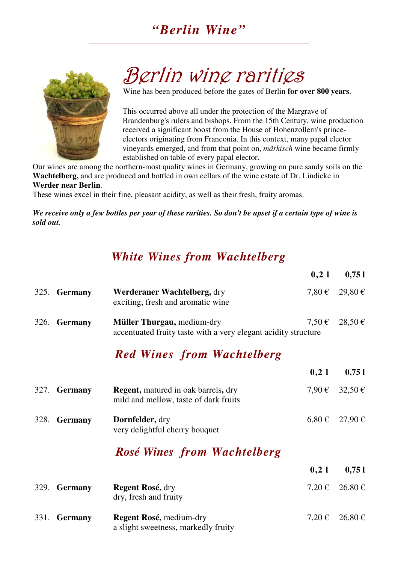### *"Berlin Wine"*  \_\_\_\_\_\_\_\_\_\_\_\_\_\_\_\_\_\_\_\_\_\_\_\_\_\_\_\_\_\_\_\_\_\_\_\_\_\_\_\_\_\_\_\_\_\_\_\_\_\_\_\_\_\_\_\_\_\_\_\_



# Berlin wine rarities

Wine has been produced before the gates of Berlin **for over 800 years**.

This occurred above all under the protection of the Margrave of Brandenburg's rulers and bishops. From the 15th Century, wine production received a significant boost from the House of Hohenzollern's princeelectors originating from Franconia. In this context, many papal elector vineyards emerged, and from that point on, *märkisch* wine became firmly established on table of every papal elector.

Our wines are among the northern-most quality wines in Germany, growing on pure sandy soils on the **Wachtelberg,** and are produced and bottled in own cellars of the wine estate of Dr. Lindicke in **Werder near Berlin**.

These wines excel in their fine, pleasant acidity, as well as their fresh, fruity aromas.

*We receive only a few bottles per year of these rarities. So don't be upset if a certain type of wine is sold out.*

### *White Wines from Wachtelberg*

|      |                |                                                                                              | 0,21       | 0,751          |
|------|----------------|----------------------------------------------------------------------------------------------|------------|----------------|
|      | 325. Germany   | Werderaner Wachtelberg, dry<br>exciting, fresh and aromatic wine                             | $7,80 \in$ | 29,80€         |
|      | 326. Germany   | Müller Thurgau, medium-dry<br>accentuated fruity taste with a very elegant acidity structure | $7.50 \in$ | 28,50€         |
|      |                | <b>Red Wines from Wachtelberg</b>                                                            |            |                |
|      |                |                                                                                              | 0,21       | 0,751          |
|      | 327. Germany   | <b>Regent, matured in oak barrels, dry</b><br>mild and mellow, taste of dark fruits          | $7,90 \in$ | $32,50 \in$    |
| 328. | <b>Germany</b> | Dornfelder, dry<br>very delightful cherry bouquet                                            | $6,80 \in$ | $27,90 \in$    |
|      |                | Rosé Wines from Wachtelberg                                                                  |            |                |
|      |                |                                                                                              | 0,21       | 0,751          |
| 329. | <b>Germany</b> | <b>Regent Rosé, dry</b>                                                                      |            | 7,20 € 26,80 € |

| 331. Germany | <b>Regent Rosé, medium-dry</b><br>a slight sweetness, markedly fruity | 7,20 € 26,80 € |
|--------------|-----------------------------------------------------------------------|----------------|

dry, fresh and fruity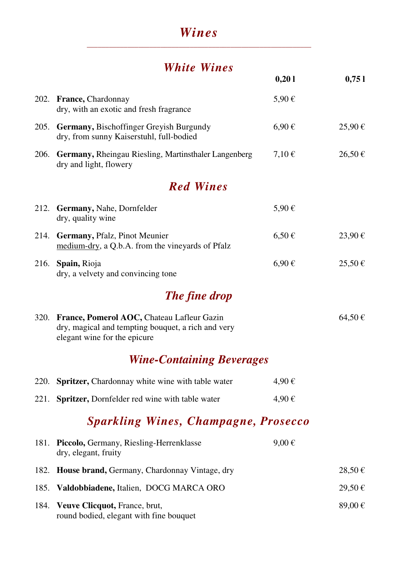### *Wines*  \_\_\_\_\_\_\_\_\_\_\_\_\_\_\_\_\_\_\_\_\_\_\_\_\_\_\_\_\_\_\_\_\_\_\_\_\_\_\_\_\_\_\_\_\_\_\_\_\_\_\_\_\_\_\_\_\_\_\_\_\_

# *White Wines*

|      |                                                                                                                                       | 0,201      | 0,751  |
|------|---------------------------------------------------------------------------------------------------------------------------------------|------------|--------|
|      | 202. France, Chardonnay<br>dry, with an exotic and fresh fragrance                                                                    | 5,90€      |        |
| 205. | Germany, Bischoffinger Greyish Burgundy<br>dry, from sunny Kaiserstuhl, full-bodied                                                   | $6,90 \in$ | 25,90€ |
|      | 206. Germany, Rheingau Riesling, Martinsthaler Langenberg<br>dry and light, flowery                                                   | $7,10 \in$ | 26,50€ |
|      | <b>Red Wines</b>                                                                                                                      |            |        |
| 212. | <b>Germany, Nahe, Dornfelder</b><br>dry, quality wine                                                                                 | 5,90€      |        |
|      | 214. Germany, Pfalz, Pinot Meunier<br>medium-dry, a Q.b.A. from the vineyards of Pfalz                                                | $6,50 \in$ | 23,90€ |
| 216. | Spain, Rioja<br>dry, a velvety and convincing tone                                                                                    | $6,90 \in$ | 25,50€ |
|      | The fine drop                                                                                                                         |            |        |
|      | 320. France, Pomerol AOC, Chateau Lafleur Gazin<br>dry, magical and tempting bouquet, a rich and very<br>elegant wine for the epicure |            | 64,50€ |
|      | <b>Wine-Containing Beverages</b>                                                                                                      |            |        |
| 220. | <b>Spritzer, Chardonnay white wine with table water</b>                                                                               | 4,90€      |        |
| 221. | Spritzer, Dornfelder red wine with table water                                                                                        | 4,90€      |        |
|      | <b>Sparkling Wines, Champagne, Prosecco</b>                                                                                           |            |        |
| 181. | Piccolo, Germany, Riesling-Herrenklasse<br>dry, elegant, fruity                                                                       | $9,00 \in$ |        |
| 182. | House brand, Germany, Chardonnay Vintage, dry                                                                                         |            | 28,50€ |
| 185. | Valdobbiadene, Italien, DOCG MARCA ORO                                                                                                |            | 29,50€ |
| 184. | <b>Veuve Clicquot, France, brut,</b><br>round bodied, elegant with fine bouquet                                                       |            | 89,00€ |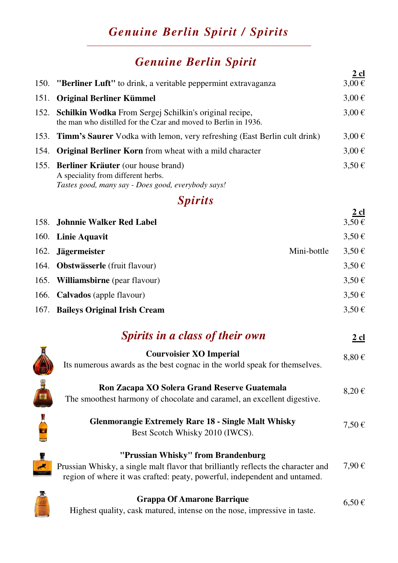### *Genuine Berlin Spirit / Spirits*  \_\_\_\_\_\_\_\_\_\_\_\_\_\_\_\_\_\_\_\_\_\_\_\_\_\_\_\_\_\_\_\_\_\_\_\_\_\_\_\_\_\_\_\_\_\_\_\_\_\_\_\_\_\_\_\_\_\_\_\_\_

# *Genuine Berlin Spirit*

|      |                                                                                                                                     | $2$ cl     |
|------|-------------------------------------------------------------------------------------------------------------------------------------|------------|
|      | 150. "Berliner Luft" to drink, a veritable peppermint extravaganza                                                                  | $3,00 \in$ |
| 151. | <b>Original Berliner Kümmel</b>                                                                                                     | $3,00 \in$ |
|      | 152. Schilkin Wodka From Sergej Schilkin's original recipe,<br>the man who distilled for the Czar and moved to Berlin in 1936.      | $3,00 \in$ |
|      | 153. <b>Timm's Saurer</b> Vodka with lemon, very refreshing (East Berlin cult drink)                                                | $3,00 \in$ |
| 154. | <b>Original Berliner Korn</b> from wheat with a mild character                                                                      | $3,00 \in$ |
|      | 155. Berliner Kräuter (our house brand)<br>A speciality from different herbs.<br>Tastes good, many say - Does good, everybody says! | $3,50 \in$ |
|      | <i>Spirits</i>                                                                                                                      |            |
|      | 158. Johnnie Walker Red Label                                                                                                       | $2$ cl     |

| 160. Linie Aquavit                       |             | $3,50 \in$          |
|------------------------------------------|-------------|---------------------|
| 162. Jägermeister                        | Mini-bottle | 3,50€               |
| 164. <b>Obstwässerle</b> (fruit flavour) |             | $3.50 \,\mathrm{E}$ |
| 165. Williamsbirne (pear flavour)        |             | $3,50 \in$          |
| 166. Calvados (apple flavour)            |             | $3,50 \in$          |
| 167. Baileys Original Irish Cream        |             | $3,50 \in$          |

| Spirits in a class of their own | 2 cl       |
|---------------------------------|------------|
| <b>Courvoisier XO Imperial</b>  | $8,80 \in$ |



| Ron Zacapa XO Solera Grand Reserve Guatemala |  |  | $8,20 \in$ |
|----------------------------------------------|--|--|------------|
|                                              |  |  |            |

The smoothest harmony of chocolate and caramel, an excellent digestive.

| <b>Glenmorangie Extremely Rare 18 - Single Malt Whisky</b> | $7,50 \in$ |
|------------------------------------------------------------|------------|
| Best Scotch Whisky 2010 (IWCS).                            |            |

### **"Prussian Whisky" from Brandenburg**

Prussian Whisky, a single malt flavor that brilliantly reflects the character and region of where it was crafted: peaty, powerful, independent and untamed. 7,90 €

H

 $\overline{\mathbf{x}}$ 

#### **Grappa Of Amarone Barrique**

Highest quality, cask matured, intense on the nose, impressive in taste.

 $6,50 \in$